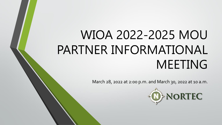# WIOA 2022-2025 MOU PARTNER INFORMATIONAL MEETING

March 28, 2022 at 2:00 p.m. and March 30, 2022 at 10 a.m.

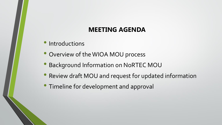#### **MEETING AGENDA**

- Introductions
- Overview of the WIOA MOU process
- Background Information on NoRTEC MOU
- Review draft MOU and request for updated information
- Timeline for development and approval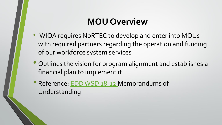## **MOU Overview**

- WIOA requires NoRTEC to develop and enter into MOUs with required partners regarding the operation and funding of our workforce system services
- Outlines the vision for program alignment and establishes a financial plan to implement it
- Reference: [EDD WSD 18-12 M](https://edd.ca.gov/Jobs_and_Training/pubs/wsd18-12.pdf)emorandums of Understanding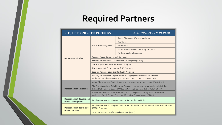# **Required Partners**

| <b>REQUIRED ONE-STOP PARTNERS</b>                            |                                                                                                                                                                        | Section 121(b)(1)(B) and 20 CFR 678.400 |  |  |  |  |  |
|--------------------------------------------------------------|------------------------------------------------------------------------------------------------------------------------------------------------------------------------|-----------------------------------------|--|--|--|--|--|
|                                                              |                                                                                                                                                                        | Adult, Dislocated Workers, and Youth    |  |  |  |  |  |
|                                                              | <b>WIOA Title I Programs</b>                                                                                                                                           | Job Corps                               |  |  |  |  |  |
|                                                              |                                                                                                                                                                        | YouthBuild                              |  |  |  |  |  |
| <b>Department of Labor</b>                                   |                                                                                                                                                                        | National Farmworker Jobs Program (NFJP) |  |  |  |  |  |
|                                                              |                                                                                                                                                                        | <b>Native American Programs</b>         |  |  |  |  |  |
|                                                              | Wagner-Peyser (Employment Services)                                                                                                                                    |                                         |  |  |  |  |  |
|                                                              | Senior Community Service Employment Program (SCSEP)                                                                                                                    |                                         |  |  |  |  |  |
|                                                              | Trade Adjustment Assistance (TAA) Program                                                                                                                              |                                         |  |  |  |  |  |
|                                                              | Unemployment Compensation (UC) Programs                                                                                                                                |                                         |  |  |  |  |  |
|                                                              | Jobs for Veterans State Grants (JVSG) Programs                                                                                                                         |                                         |  |  |  |  |  |
|                                                              | Reentry Employment Opportunities (REO) programs authorized under sec. 212<br>of the Second Chance Act of 2007 (42 U.S.C. 17532) and WIOA sec. 169                      |                                         |  |  |  |  |  |
| <b>Department of Education</b>                               | Adult Education and Family Literacy Act program, authorized under WIOA title II                                                                                        |                                         |  |  |  |  |  |
|                                                              | The State Vocational Rehabilitation Services program authorized under title I of the<br>Rehabilitation Act of 1973 (29 U.S.C.720 et seq.), as amended by WIOA title IV |                                         |  |  |  |  |  |
|                                                              | Career and technical education programs at the postsecondary level, authorized<br>under the Carl D. Perkins Career and Technical Education Act of 2006                 |                                         |  |  |  |  |  |
| <b>Department of Housing and</b><br><b>Urban Development</b> | Employment and training activities carried out by the HUD                                                                                                              |                                         |  |  |  |  |  |
| <b>Department of Health and</b>                              | Employment and training activities carried out under the Community Services Block Grant<br>(CSBG) Programs                                                             |                                         |  |  |  |  |  |
| <b>Human Services</b>                                        | Temporary Assistance for Needy Families (TANF)                                                                                                                         |                                         |  |  |  |  |  |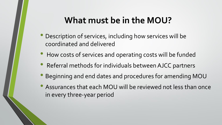#### **What must be in the MOU?**

- Description of services, including how services will be coordinated and delivered
- How costs of services and operating costs will be funded
- Referral methods for individuals between AJCC partners
- Beginning and end dates and procedures for amending MOU
- Assurances that each MOU will be reviewed not less than once in every three-year period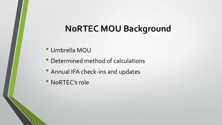### **NoRTEC MOU Background**

- Umbrella MOU
- Determined method of calculations
- Annual IFA check-ins and updates
- NoRTEC's role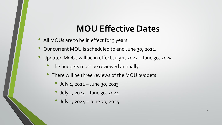## **MOU Effective Dates**

- All MOUs are to be in effect for 3 years
- Our current MOU is scheduled to end June 30, 2022.
- Updated MOUs will be in effect July 1, 2022 June 30, 2025.
	- The budgets must be reviewed annually.
	- There will be three reviews of the MOU budgets:
		- July 1, 2022 June 30, 2023
		- July 1, 2023 June 30, 2024
		- July 1, 2024 June 30, 2025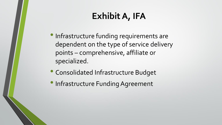# **Exhibit A, IFA**

- •Infrastructure funding requirements are dependent on the type of service delivery points – comprehensive, affiliate or specialized.
- Consolidated Infrastructure Budget
- Infrastructure Funding Agreement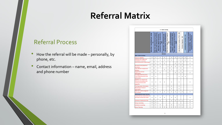### **Referral Matrix**

#### Referral Process

- How the referral will be made personally, by phone, etc.
- Contact information name, email, address and phone number

|                                                                                                   |                                           |                                                                                        |                                                                                 | <b>A - Butte County</b>                                                                   |                                               |                                                                                  |                                                      |                                         |                         |                              |                                                                                                                      |
|---------------------------------------------------------------------------------------------------|-------------------------------------------|----------------------------------------------------------------------------------------|---------------------------------------------------------------------------------|-------------------------------------------------------------------------------------------|-----------------------------------------------|----------------------------------------------------------------------------------|------------------------------------------------------|-----------------------------------------|-------------------------|------------------------------|----------------------------------------------------------------------------------------------------------------------|
|                                                                                                   | MIOA Title I, Adult/DW/Youth - AFWD,<br>g | <b>WIOA Title I, Native American Programs</b><br>California Indian Manpower Consortium | Farmworker Programs - Section (167),<br>WIOA Title I, Migrant and Seasonal<br>웋 | <b>Uteracy Programs - Oroville Adult Ed.</b><br><b>WIOA Title II, Adult Education and</b> | WIOA Title III, Wagner-Peyser Programs<br>eoo | WIOA Title IV, Vocational Rehabilitation<br>Programs - California Vocation Rehab | Title V, Older Americans Act Programs<br><b>AARP</b> | Trade Adjustment Assistance (TAA) - EDD | Veterans Programs - EDD | Unemployment Insurance - EDD | Temporary Assistance for Needy Families<br>TANF /CalWORKs - Department of<br><b>Employment &amp; Social Services</b> |
|                                                                                                   |                                           |                                                                                        |                                                                                 | <b>Services</b>                                                                           |                                               |                                                                                  |                                                      |                                         |                         |                              |                                                                                                                      |
| <b>Basic Career Services</b>                                                                      |                                           |                                                                                        |                                                                                 |                                                                                           |                                               |                                                                                  |                                                      |                                         |                         |                              |                                                                                                                      |
| Program eligibility<br>Outreach and intake and                                                    | X                                         | X                                                                                      | X                                                                               | X                                                                                         |                                               | X                                                                                | X                                                    | X                                       | X                       | X                            | x                                                                                                                    |
| orientation to services                                                                           | X                                         | X                                                                                      | X                                                                               | X                                                                                         | x                                             | x                                                                                |                                                      | x                                       | x                       | x                            | x                                                                                                                    |
| Initial assessment of skill levels                                                                | X                                         | X                                                                                      | X                                                                               | X                                                                                         |                                               |                                                                                  | x                                                    | x                                       | x                       |                              | x                                                                                                                    |
| Job search and placement<br>assistance                                                            | X                                         | x                                                                                      | x                                                                               |                                                                                           | x                                             | x                                                                                | x                                                    | x                                       | X                       |                              | x                                                                                                                    |
| Labor Market employment<br>statistics                                                             | X                                         | x                                                                                      |                                                                                 | x                                                                                         | x                                             | x                                                                                |                                                      | x                                       | x                       |                              |                                                                                                                      |
| <b>Supportive services</b><br>information                                                         | x                                         | x                                                                                      | X                                                                               |                                                                                           | X                                             |                                                                                  | x                                                    | X                                       | X                       |                              | x                                                                                                                    |
| <b>Unemployment Insurance</b><br><b>Claim Filing Assistance and</b><br>Information                | X                                         | X                                                                                      |                                                                                 |                                                                                           | X                                             |                                                                                  |                                                      | X                                       | x                       | x                            |                                                                                                                      |
| Eligibility for programs of<br>financial aid assistance for<br>training and education<br>programs | x                                         | x                                                                                      | X                                                                               | x                                                                                         |                                               | x                                                                                |                                                      | x                                       |                         |                              | x                                                                                                                    |
| <b>Training vendor information</b>                                                                | X                                         | X                                                                                      |                                                                                 |                                                                                           | X                                             | x                                                                                |                                                      | x                                       |                         |                              |                                                                                                                      |
| Performance measure<br>information                                                                | X                                         | X                                                                                      |                                                                                 |                                                                                           |                                               | x                                                                                |                                                      | x                                       |                         |                              |                                                                                                                      |
| Referrals to other programs<br>and services                                                       | X                                         | X                                                                                      | x                                                                               | X                                                                                         | X                                             | X                                                                                | X                                                    | X                                       | X                       |                              | X                                                                                                                    |
| <b>Individualized Career Services</b>                                                             |                                           |                                                                                        |                                                                                 |                                                                                           |                                               |                                                                                  |                                                      |                                         |                         |                              |                                                                                                                      |
| Comprehensive assessment of<br>skill levels and service needs                                     | X                                         | X                                                                                      | X                                                                               | X                                                                                         |                                               | X                                                                                | x                                                    |                                         |                         |                              | x                                                                                                                    |
| Individual Employment Plan                                                                        | x                                         | x                                                                                      | x                                                                               |                                                                                           | x                                             | x                                                                                | x                                                    | X                                       | x                       |                              | x                                                                                                                    |
| <b>Group counseling</b>                                                                           | X                                         | X                                                                                      |                                                                                 |                                                                                           |                                               |                                                                                  |                                                      |                                         |                         |                              | X                                                                                                                    |
| <b>Individual counseling</b>                                                                      | x                                         | X                                                                                      | x                                                                               |                                                                                           | x                                             | x                                                                                |                                                      | x                                       | x                       |                              | X                                                                                                                    |
| <b>Career Planning</b>                                                                            | x                                         | x                                                                                      | X                                                                               | X                                                                                         | x                                             | x                                                                                | x                                                    | X                                       | x                       |                              | x                                                                                                                    |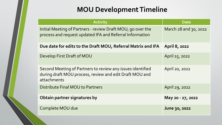#### **MOU Development Timeline**

| <b>Activity</b>                                                                                                                      | <b>Date</b>           |  |  |  |
|--------------------------------------------------------------------------------------------------------------------------------------|-----------------------|--|--|--|
| Initial Meeting of Partners - review Draft MOU, go over the<br>process and request updated IFA and Referral Information              | March 28 and 30, 2022 |  |  |  |
| Due date for edits to the Draft MOU, Referral Matrix and IFA                                                                         | <b>April 8, 2022</b>  |  |  |  |
| Develop First Draft of MOU                                                                                                           | April 15, 2022        |  |  |  |
| Second Meeting of Partners to review any issues identified<br>during draft MOU process, review and edit Draft MOU and<br>attachments | April 20, 2022        |  |  |  |
| Distribute Final MOU to Partners                                                                                                     | April 29, 2022        |  |  |  |
| Obtain partner signatures by                                                                                                         | May 20 - 27, 2022     |  |  |  |
| Complete MOU due                                                                                                                     | June 30, 2022         |  |  |  |